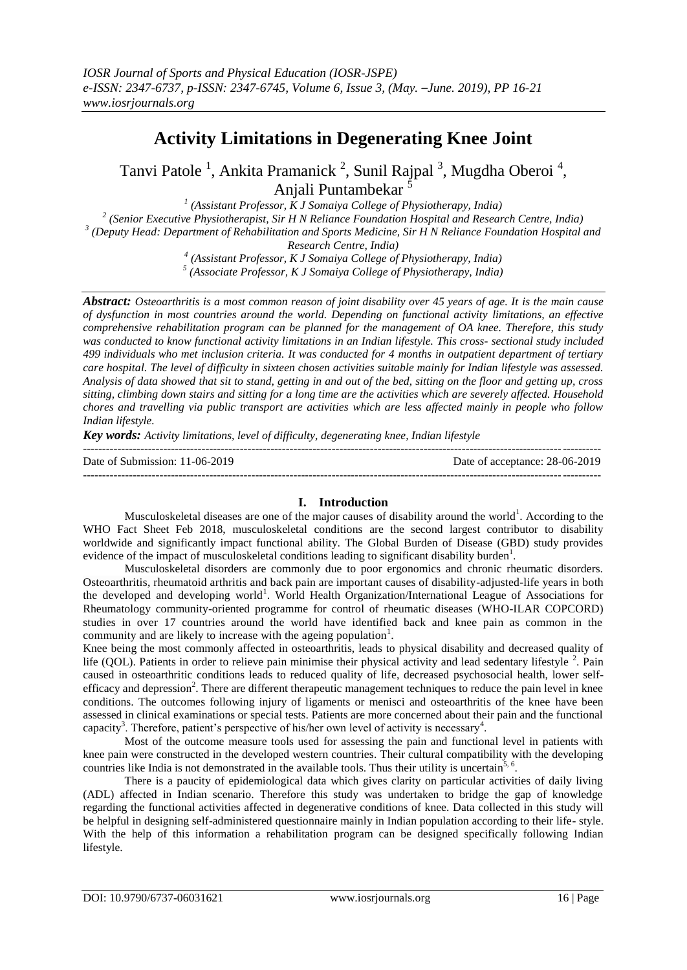# **Activity Limitations in Degenerating Knee Joint**

Tanvi Patole<sup>1</sup>, Ankita Pramanick<sup>2</sup>, Sunil Rajpal<sup>3</sup>, Mugdha Oberoi<sup>4</sup>, Anjali Puntambekar <sup>5</sup>

 *(Assistant Professor, K J Somaiya College of Physiotherapy, India) (Senior Executive Physiotherapist, Sir H N Reliance Foundation Hospital and Research Centre, India) (Deputy Head: Department of Rehabilitation and Sports Medicine, Sir H N Reliance Foundation Hospital and Research Centre, India) (Assistant Professor, K J Somaiya College of Physiotherapy, India)*

*5 (Associate Professor, K J Somaiya College of Physiotherapy, India)*

*Abstract: Osteoarthritis is a most common reason of joint disability over 45 years of age. It is the main cause of dysfunction in most countries around the world. Depending on functional activity limitations, an effective comprehensive rehabilitation program can be planned for the management of OA knee. Therefore, this study was conducted to know functional activity limitations in an Indian lifestyle. This cross- sectional study included 499 individuals who met inclusion criteria. It was conducted for 4 months in outpatient department of tertiary care hospital. The level of difficulty in sixteen chosen activities suitable mainly for Indian lifestyle was assessed. Analysis of data showed that sit to stand, getting in and out of the bed, sitting on the floor and getting up, cross sitting, climbing down stairs and sitting for a long time are the activities which are severely affected. Household chores and travelling via public transport are activities which are less affected mainly in people who follow Indian lifestyle.*

*Key words: Activity limitations, level of difficulty, degenerating knee, Indian lifestyle*

--------------------------------------------------------------------------------------------------------------------------------------- Date of Submission: 11-06-2019 Date of acceptance: 28-06-2019 ---------------------------------------------------------------------------------------------------------------------------------------

## **I. Introduction**

Musculoskeletal diseases are one of the major causes of disability around the world<sup>1</sup>. According to the WHO Fact Sheet Feb 2018, musculoskeletal conditions are the second largest contributor to disability worldwide and significantly impact functional ability. The Global Burden of Disease (GBD) study provides evidence of the impact of musculoskeletal conditions leading to significant disability burden<sup>1</sup>.

Musculoskeletal disorders are commonly due to poor ergonomics and chronic rheumatic disorders. Osteoarthritis, rheumatoid arthritis and back pain are important causes of disability-adjusted-life years in both the developed and developing world<sup>1</sup>. World Health Organization/International League of Associations for Rheumatology community-oriented programme for control of rheumatic diseases (WHO-ILAR COPCORD) studies in over 17 countries around the world have identified back and knee pain as common in the community and are likely to increase with the ageing population<sup>1</sup>.

Knee being the most commonly affected in osteoarthritis, leads to physical disability and decreased quality of life (QOL). Patients in order to relieve pain minimise their physical activity and lead sedentary lifestyle <sup>2</sup>. Pain caused in osteoarthritic conditions leads to reduced quality of life, decreased psychosocial health, lower selfefficacy and depression<sup>2</sup>. There are different therapeutic management techniques to reduce the pain level in knee conditions. The outcomes following injury of ligaments or menisci and osteoarthritis of the knee have been assessed in clinical examinations or special tests. Patients are more concerned about their pain and the functional capacity<sup>3</sup>. Therefore, patient's perspective of his/her own level of activity is necessary<sup>4</sup>.

Most of the outcome measure tools used for assessing the pain and functional level in patients with knee pain were constructed in the developed western countries. Their cultural compatibility with the developing countries like India is not demonstrated in the available tools. Thus their utility is uncertain<sup>5, 6</sup>.

There is a paucity of epidemiological data which gives clarity on particular activities of daily living (ADL) affected in Indian scenario. Therefore this study was undertaken to bridge the gap of knowledge regarding the functional activities affected in degenerative conditions of knee. Data collected in this study will be helpful in designing self-administered questionnaire mainly in Indian population according to their life- style. With the help of this information a rehabilitation program can be designed specifically following Indian lifestyle.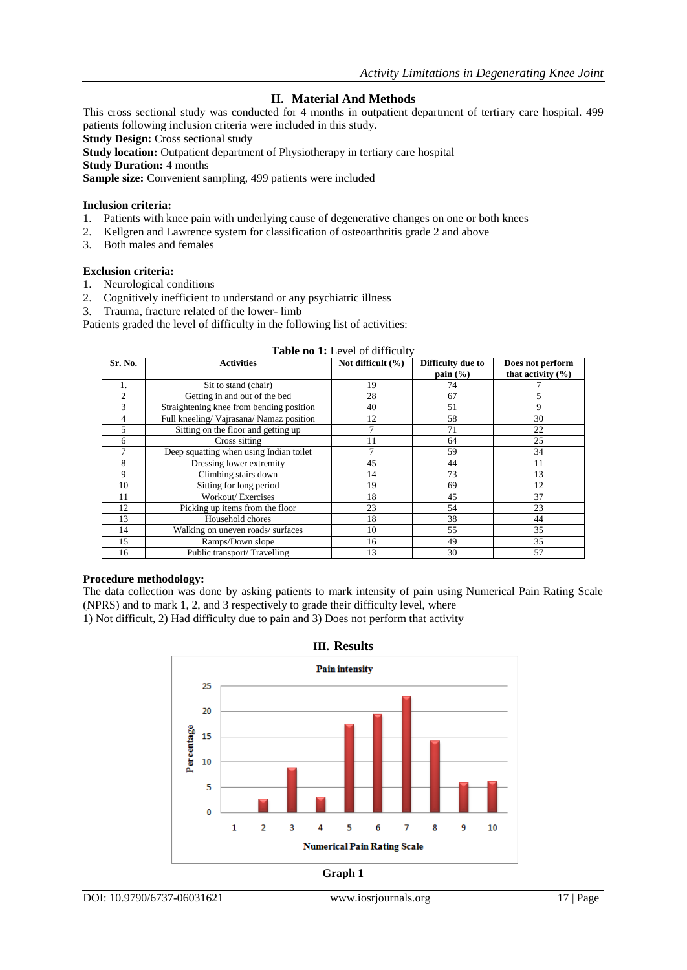## **II. Material And Methods**

This cross sectional study was conducted for 4 months in outpatient department of tertiary care hospital. 499 patients following inclusion criteria were included in this study.

**Study Design:** Cross sectional study

**Study location:** Outpatient department of Physiotherapy in tertiary care hospital

**Study Duration:** 4 months

**Sample size:** Convenient sampling, 499 patients were included

#### **Inclusion criteria:**

- 1. Patients with knee pain with underlying cause of degenerative changes on one or both knees
- 2. Kellgren and Lawrence system for classification of osteoarthritis grade 2 and above
- 3. Both males and females

### **Exclusion criteria:**

- 1. Neurological conditions
- 2. Cognitively inefficient to understand or any psychiatric illness
- 3. Trauma, fracture related of the lower- limb

Patients graded the level of difficulty in the following list of activities:

| Sr. No.        | <b>Activities</b>                        | Not difficult $(\% )$ | Difficulty due to    | Does not perform      |
|----------------|------------------------------------------|-----------------------|----------------------|-----------------------|
|                |                                          |                       |                      |                       |
|                |                                          |                       | pain $(\frac{6}{6})$ | that activity $(\% )$ |
| 1.             | Sit to stand (chair)                     | 19                    | 74                   |                       |
| $\overline{2}$ | Getting in and out of the bed            | 28                    | 67                   | 5                     |
| 3              | Straightening knee from bending position | 40                    | 51                   | 9                     |
| 4              | Full kneeling/Vajrasana/Namaz position   | 12                    | 58                   | 30                    |
| 5              | Sitting on the floor and getting up      |                       | 71                   | 22                    |
| 6              | Cross sitting                            | 11                    | 64                   | 25                    |
| 7              | Deep squatting when using Indian toilet  |                       | 59                   | 34                    |
| 8              | Dressing lower extremity                 | 45                    | 44                   | 11                    |
| 9              | Climbing stairs down                     | 14                    | 73                   | 13                    |
| 10             | Sitting for long period                  | 19                    | 69                   | 12                    |
| 11             | Workout/Exercises                        | 18                    | 45                   | 37                    |
| 12             | Picking up items from the floor          | 23                    | 54                   | 23                    |
| 13             | Household chores                         | 18                    | 38                   | 44                    |
| 14             | Walking on uneven roads/surfaces         | 10                    | 55                   | 35                    |
| 15             | Ramps/Down slope                         | 16                    | 49                   | 35                    |
| 16             | Public transport/Travelling              | 13                    | 30                   | 57                    |

### **Table no 1:** Level of difficulty

#### **Procedure methodology:**

The data collection was done by asking patients to mark intensity of pain using Numerical Pain Rating Scale (NPRS) and to mark 1, 2, and 3 respectively to grade their difficulty level, where

1) Not difficult, 2) Had difficulty due to pain and 3) Does not perform that activity

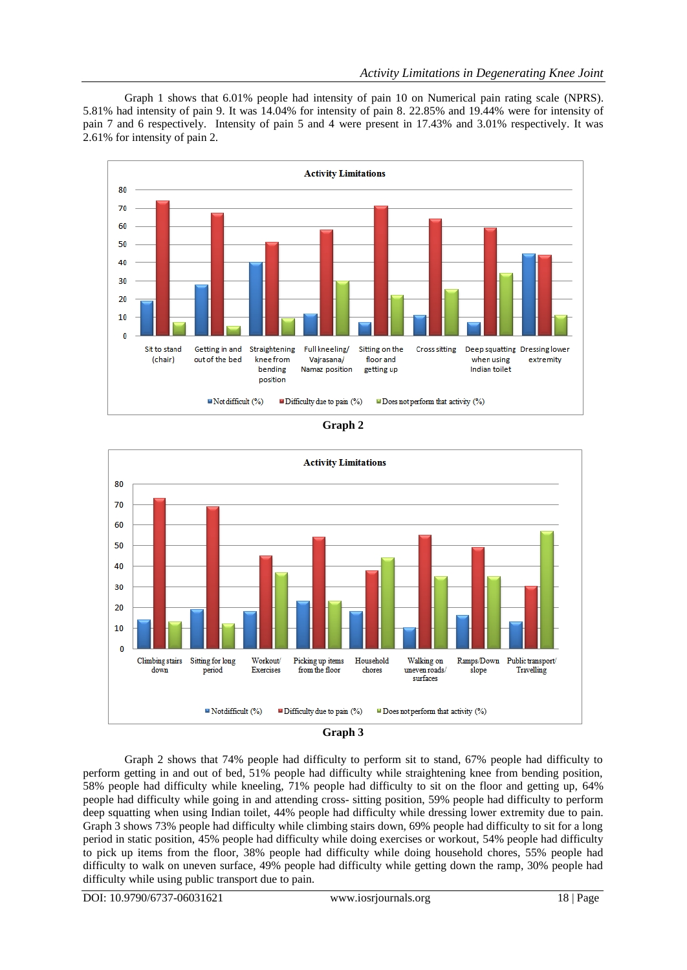Graph 1 shows that 6.01% people had intensity of pain 10 on Numerical pain rating scale (NPRS). 5.81% had intensity of pain 9. It was 14.04% for intensity of pain 8. 22.85% and 19.44% were for intensity of pain 7 and 6 respectively. Intensity of pain 5 and 4 were present in 17.43% and 3.01% respectively. It was 2.61% for intensity of pain 2.



**Graph 2**





Graph 2 shows that 74% people had difficulty to perform sit to stand, 67% people had difficulty to perform getting in and out of bed, 51% people had difficulty while straightening knee from bending position, 58% people had difficulty while kneeling, 71% people had difficulty to sit on the floor and getting up, 64% people had difficulty while going in and attending cross- sitting position, 59% people had difficulty to perform deep squatting when using Indian toilet, 44% people had difficulty while dressing lower extremity due to pain. Graph 3 shows 73% people had difficulty while climbing stairs down, 69% people had difficulty to sit for a long period in static position, 45% people had difficulty while doing exercises or workout, 54% people had difficulty to pick up items from the floor, 38% people had difficulty while doing household chores, 55% people had difficulty to walk on uneven surface, 49% people had difficulty while getting down the ramp, 30% people had difficulty while using public transport due to pain.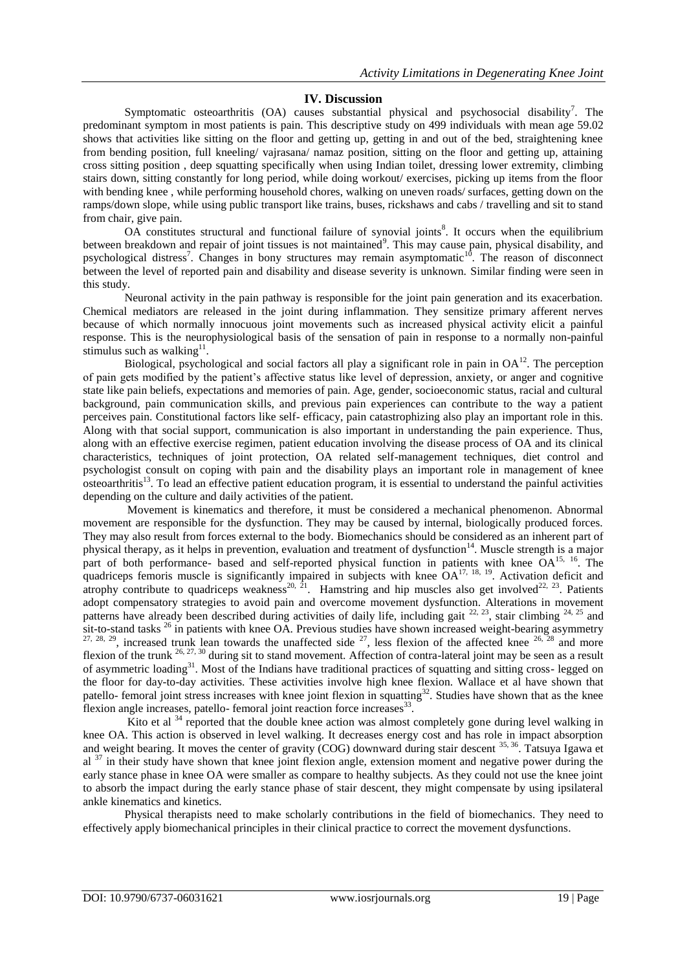## **IV. Discussion**

Symptomatic osteoarthritis  $(OA)$  causes substantial physical and psychosocial disability<sup>7</sup>. The predominant symptom in most patients is pain. This descriptive study on 499 individuals with mean age 59.02 shows that activities like sitting on the floor and getting up, getting in and out of the bed, straightening knee from bending position, full kneeling/ vajrasana/ namaz position, sitting on the floor and getting up, attaining cross sitting position , deep squatting specifically when using Indian toilet, dressing lower extremity, climbing stairs down, sitting constantly for long period, while doing workout/ exercises, picking up items from the floor with bending knee , while performing household chores, walking on uneven roads/ surfaces, getting down on the ramps/down slope, while using public transport like trains, buses, rickshaws and cabs / travelling and sit to stand from chair, give pain.

OA constitutes structural and functional failure of synovial joints<sup>8</sup>. It occurs when the equilibrium between breakdown and repair of joint tissues is not maintained<sup>9</sup>. This may cause pain, physical disability, and psychological distress<sup>7</sup>. Changes in bony structures may remain asymptomatic<sup>10</sup>. The reason of disconnect between the level of reported pain and disability and disease severity is unknown. Similar finding were seen in this study.

 Neuronal activity in the pain pathway is responsible for the joint pain generation and its exacerbation. Chemical mediators are released in the joint during inflammation. They sensitize primary afferent nerves because of which normally innocuous joint movements such as increased physical activity elicit a painful response. This is the neurophysiological basis of the sensation of pain in response to a normally non-painful stimulus such as walking $11$ .

Biological, psychological and social factors all play a significant role in pain in  $OA<sup>12</sup>$ . The perception of pain gets modified by the patient's affective status like level of depression, anxiety, or anger and cognitive state like pain beliefs, expectations and memories of pain. Age, gender, socioeconomic status, racial and cultural background, pain communication skills, and previous pain experiences can contribute to the way a patient perceives pain. Constitutional factors like self- efficacy, pain catastrophizing also play an important role in this. Along with that social support, communication is also important in understanding the pain experience. Thus, along with an effective exercise regimen, patient education involving the disease process of OA and its clinical characteristics, techniques of joint protection, OA related self-management techniques, diet control and psychologist consult on coping with pain and the disability plays an important role in management of knee osteoarthritis<sup>13</sup>. To lead an effective patient education program, it is essential to understand the painful activities depending on the culture and daily activities of the patient.

 Movement is kinematics and therefore, it must be considered a mechanical phenomenon. Abnormal movement are responsible for the dysfunction. They may be caused by internal, biologically produced forces. They may also result from forces external to the body. Biomechanics should be considered as an inherent part of physical therapy, as it helps in prevention, evaluation and treatment of dysfunction<sup>14</sup>. Muscle strength is a major part of both performance- based and self-reported physical function in patients with knee OA<sup>15, 16</sup>. The quadriceps femoris muscle is significantly impaired in subjects with knee  $OA^{17, 18, 19}$ . Activation deficit and atrophy contribute to quadriceps weakness<sup>20,  $\bar{2}$ 1</sup>. Hamstring and hip muscles also get involved<sup>22, 23</sup>. Patients adopt compensatory strategies to avoid pain and overcome movement dysfunction. Alterations in movement patterns have already been described during activities of daily life, including gait  $^{22, 23}$ , stair climbing  $^{24, 25}$  and  $\frac{1}{\sqrt{2}}$  sit-to-stand tasks  $^{26}$  in patients with knee OA. Previous studies have shown increased weight-bearing asymmetry  $27, 28, 29$ , increased trunk lean towards the unaffected side  $27$ , less flexion of the affected knee  $26, 28$  and more flexion of the trunk  $^{26, 27, 30}$  during sit to stand movement. Affection of contra-lateral joint may be seen as a result of asymmetric loading<sup>31</sup>. Most of the Indians have traditional practices of squatting and sitting cross- legged on the floor for day-to-day activities. These activities involve high knee flexion. Wallace et al have shown that patello- femoral joint stress increases with knee joint flexion in squatting<sup>32</sup>. Studies have shown that as the knee flexion angle increases, patello- femoral joint reaction force increases<sup>33</sup>.

Kito et al  $34$  reported that the double knee action was almost completely gone during level walking in knee OA. This action is observed in level walking. It decreases energy cost and has role in impact absorption and weight bearing. It moves the center of gravity (COG) downward during stair descent <sup>35, 36</sup>. Tatsuya Igawa et al <sup>37</sup> in their study have shown that knee joint flexion angle, extension moment and negative power during the early stance phase in knee OA were smaller as compare to healthy subjects. As they could not use the knee joint to absorb the impact during the early stance phase of stair descent, they might compensate by using ipsilateral ankle kinematics and kinetics.

 Physical therapists need to make scholarly contributions in the field of biomechanics. They need to effectively apply biomechanical principles in their clinical practice to correct the movement dysfunctions.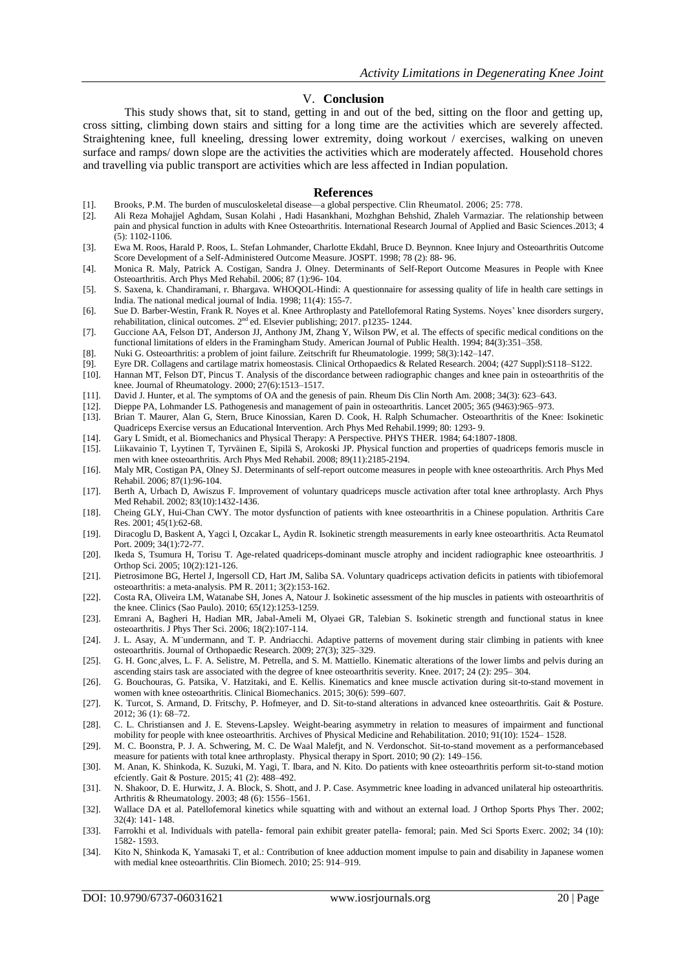#### V. **Conclusion**

 This study shows that, sit to stand, getting in and out of the bed, sitting on the floor and getting up, cross sitting, climbing down stairs and sitting for a long time are the activities which are severely affected. Straightening knee, full kneeling, dressing lower extremity, doing workout / exercises, walking on uneven surface and ramps/ down slope are the activities the activities which are moderately affected. Household chores and travelling via public transport are activities which are less affected in Indian population.

#### **References**

- [1]. Brooks, P.M. The burden of musculoskeletal disease—a global perspective. Clin Rheumatol. 2006; 25: 778.
- [2]. Ali Reza Mohajjel Aghdam, Susan Kolahi , Hadi Hasankhani, Mozhghan Behshid, Zhaleh Varmaziar. The relationship between pain and physical function in adults with Knee Osteoarthritis. International Research Journal of Applied and Basic Sciences.2013; 4  $(5)$ : 1102-1106.
- [3]. Ewa M. Roos, Harald P. Roos, L. Stefan Lohmander, Charlotte Ekdahl, Bruce D. Beynnon. Knee Injury and Osteoarthritis Outcome Score Development of a Self-Administered Outcome Measure. JOSPT. 1998; 78 (2): 88- 96.
- [4]. Monica R. Maly, Patrick A. Costigan, Sandra J. Olney. Determinants of Self-Report Outcome Measures in People with Knee Osteoarthritis. Arch Phys Med Rehabil. 2006; 87 (1):96- 104.
- [5]. S. Saxena, k. Chandiramani, r. Bhargava. WHOQOL-Hindi: A questionnaire for assessing quality of life in health care settings in India. The national medical journal of India. 1998; 11(4): 155-7.
- [6]. Sue D. Barber-Westin, Frank R. Noyes et al. Knee Arthroplasty and Patellofemoral Rating Systems. Noyes' knee disorders surgery, rehabilitation, clinical outcomes. 2<sup>nd</sup> ed. Elsevier publishing; 2017. p1235-1244.
- [7]. Guccione AA, Felson DT, Anderson JJ, Anthony JM, Zhang Y, Wilson PW, et al. The effects of specific medical conditions on the functional limitations of elders in the Framingham Study. American Journal of Public Health. 1994; 84(3):351–358.
- [8]. Nuki G. Osteoarthritis: a problem of joint failure. Zeitschrift fur Rheumatologie. 1999; 58(3):142–147.
- [9]. Eyre DR. Collagens and cartilage matrix homeostasis. Clinical Orthopaedics & Related Research. 2004; (427 Suppl):S118–S122.
- Hannan MT, Felson DT, Pincus T. Analysis of the discordance between radiographic changes and knee pain in osteoarthritis of the knee. Journal of Rheumatology. 2000; 27(6):1513–1517.
- [11]. David J. Hunter, et al. The symptoms of OA and the genesis of pain. Rheum Dis Clin North Am. 2008; 34(3): 623–643.
- [12]. Dieppe PA, Lohmander LS. Pathogenesis and management of pain in osteoarthritis. Lancet 2005; 365 (9463):965–973.
- [13]. Brian T. Maurer, Alan G, Stern, Bruce Kinossian, Karen D. Cook, H. Ralph Schumacher. Osteoarthritis of the Knee: Isokinetic Quadriceps Exercise versus an Educational Intervention. Arch Phys Med Rehabil.1999; 80: 1293- 9.
- [14]. Gary L Smidt, et al. Biomechanics and Physical Therapy: A Perspective. PHYS THER. 1984; 64:1807-1808.
- [15]. Liikavainio T, Lyytinen T, Tyrväinen E, Sipilä S, Arokoski JP. Physical function and properties of quadriceps femoris muscle in men with knee osteoarthritis. Arch Phys Med Rehabil. 2008; 89(11):2185-2194.
- [16]. Maly MR, Costigan PA, Olney SJ. Determinants of self-report outcome measures in people with knee osteoarthritis. Arch Phys Med Rehabil. 2006; 87(1):96-104.
- [17]. Berth A, Urbach D, Awiszus F. Improvement of voluntary quadriceps muscle activation after total knee arthroplasty. Arch Phys Med Rehabil. 2002; 83(10):1432-1436.
- [18]. Cheing GLY, Hui-Chan CWY. The motor dysfunction of patients with knee osteoarthritis in a Chinese population. Arthritis Care Res. 2001; 45(1):62-68.
- [19]. Diracoglu D, Baskent A, Yagci I, Ozcakar L, Aydin R. Isokinetic strength measurements in early knee osteoarthritis. Acta Reumatol Port. 2009; 34(1):72-77.
- [20]. Ikeda S, Tsumura H, Torisu T. Age-related quadriceps-dominant muscle atrophy and incident radiographic knee osteoarthritis. J Orthop Sci. 2005; 10(2):121-126.
- [21]. Pietrosimone BG, Hertel J, Ingersoll CD, Hart JM, Saliba SA. Voluntary quadriceps activation deficits in patients with tibiofemoral osteoarthritis: a meta-analysis. PM R. 2011; 3(2):153-162.
- [22]. Costa RA, Oliveira LM, Watanabe SH, Jones A, Natour J. Isokinetic assessment of the hip muscles in patients with osteoarthritis of the knee. Clinics (Sao Paulo). 2010; 65(12):1253-1259.
- [23]. Emrani A, Bagheri H, Hadian MR, Jabal-Ameli M, Olyaei GR, Talebian S. Isokinetic strength and functional status in knee osteoarthritis. J Phys Ther Sci. 2006; 18(2):107-114.
- [24]. J. L. Asay, A. M¨undermann, and T. P. Andriacchi. Adaptive patterns of movement during stair climbing in patients with knee osteoarthritis. Journal of Orthopaedic Research. 2009; 27(3); 325–329.
- [25]. G. H. Gonc¸alves, L. F. A. Selistre, M. Petrella, and S. M. Mattiello. Kinematic alterations of the lower limbs and pelvis during an ascending stairs task are associated with the degree of knee osteoarthritis severity. Knee. 2017; 24 (2): 295– 304.
- [26]. G. Bouchouras, G. Patsika, V. Hatzitaki, and E. Kellis. Kinematics and knee muscle activation during sit-to-stand movement in women with knee osteoarthritis. Clinical Biomechanics. 2015; 30(6): 599–607.
- [27]. K. Turcot, S. Armand, D. Fritschy, P. Hofmeyer, and D. Sit-to-stand alterations in advanced knee osteoarthritis. Gait & Posture. 2012; 36 (1): 68–72.
- [28]. C. L. Christiansen and J. E. Stevens-Lapsley. Weight-bearing asymmetry in relation to measures of impairment and functional mobility for people with knee osteoarthritis. Archives of Physical Medicine and Rehabilitation. 2010; 91(10): 1524– 1528.
- [29]. M. C. Boonstra, P. J. A. Schwering, M. C. De Waal Malefjt, and N. Verdonschot. Sit-to-stand movement as a performancebased measure for patients with total knee arthroplasty. Physical therapy in Sport. 2010; 90 (2): 149–156.
- [30]. M. Anan, K. Shinkoda, K. Suzuki, M. Yagi, T. Ibara, and N. Kito. Do patients with knee osteoarthritis perform sit-to-stand motion efciently. Gait & Posture. 2015; 41 (2): 488–492.
- [31]. N. Shakoor, D. E. Hurwitz, J. A. Block, S. Shott, and J. P. Case. Asymmetric knee loading in advanced unilateral hip osteoarthritis. Arthritis & Rheumatology. 2003; 48 (6): 1556–1561.
- [32]. Wallace DA et al. Patellofemoral kinetics while squatting with and without an external load. J Orthop Sports Phys Ther. 2002; 32(4): 141- 148.
- [33]. Farrokhi et al. Individuals with patella- femoral pain exhibit greater patella- femoral; pain. Med Sci Sports Exerc. 2002; 34 (10): 1582- 1593.
- [34]. Kito N, Shinkoda K, Yamasaki T, et al.: Contribution of knee adduction moment impulse to pain and disability in Japanese women with medial knee osteoarthritis. Clin Biomech. 2010; 25: 914–919.